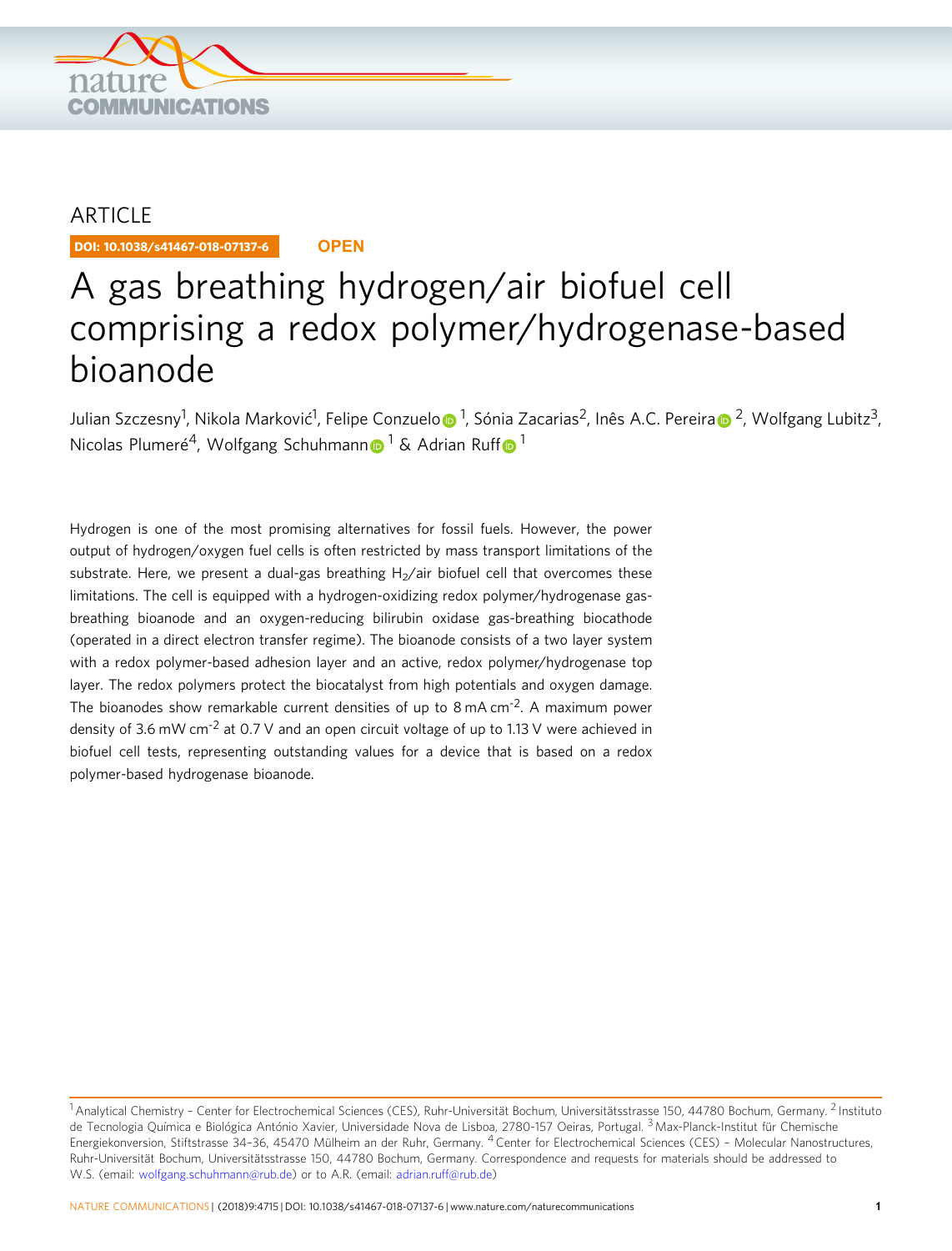

# ARTICLE

DOI: 10.1038/s41467-018-07137-6 **OPEN**

# A gas breathing hydrogen/air biofuel cell comprising a redox polymer/hydrogenase-based bioanode

Julian Szczesny<sup>1</sup>, Nik[o](http://orcid.org/0000-0002-3316-2642)l[a](http://orcid.org/0000-0003-3283-4520) Marković<sup>1</sup>, Felipe Conzuelo⋒ <sup>1</sup>, Sónia Zacarias<sup>2</sup>, Inês A.C. Pereira⋒ <sup>2</sup>, Wolfgang Lubitz<sup>3</sup>, Nicolas Plumeré<sup>4</sup>, Wolfga[n](http://orcid.org/0000-0003-2916-5223)g Schuhmann  $\frac{1}{2}$  $\frac{1}{2}$  $\frac{1}{2}$  $\frac{1}{2}$  $\frac{1}{2}$  & Adrian Ruff  $\frac{1}{2}$ 

Hydrogen is one of the most promising alternatives for fossil fuels. However, the power output of hydrogen/oxygen fuel cells is often restricted by mass transport limitations of the substrate. Here, we present a dual-gas breathing  $H<sub>2</sub>/air$  biofuel cell that overcomes these limitations. The cell is equipped with a hydrogen-oxidizing redox polymer/hydrogenase gasbreathing bioanode and an oxygen-reducing bilirubin oxidase gas-breathing biocathode (operated in a direct electron transfer regime). The bioanode consists of a two layer system with a redox polymer-based adhesion layer and an active, redox polymer/hydrogenase top layer. The redox polymers protect the biocatalyst from high potentials and oxygen damage. The bioanodes show remarkable current densities of up to  $8 \text{ mA cm}^{-2}$ . A maximum power density of 3.6 mW cm<sup>-2</sup> at 0.7 V and an open circuit voltage of up to 1.13 V were achieved in biofuel cell tests, representing outstanding values for a device that is based on a redox polymer-based hydrogenase bioanode.

<sup>1</sup>Analytical Chemistry – Center for Electrochemical Sciences (CES), Ruhr-Universität Bochum, Universitätsstrasse 150, 44780 Bochum, Germany. <sup>2</sup> Instituto de Tecnologia Química e Biológica António Xavier, Universidade Nova de Lisboa, 2780-157 Oeiras, Portugal. <sup>3</sup> Max-Planck-Institut für Chemische Energiekonversion, Stiftstrasse 34–36, 45470 Mülheim an der Ruhr, Germany. <sup>4</sup> Center for Electrochemical Sciences (CES) – Molecular Nanostructures, Ruhr-Universität Bochum, Universitätsstrasse 150, 44780 Bochum, Germany. Correspondence and requests for materials should be addressed to W.S. (email: [wolfgang.schuhmann@rub.de\)](mailto:wolfgang.schuhmann@rub.de) or to A.R. (email: [adrian.ruff@rub.de\)](mailto:adrian.ruff@rub.de)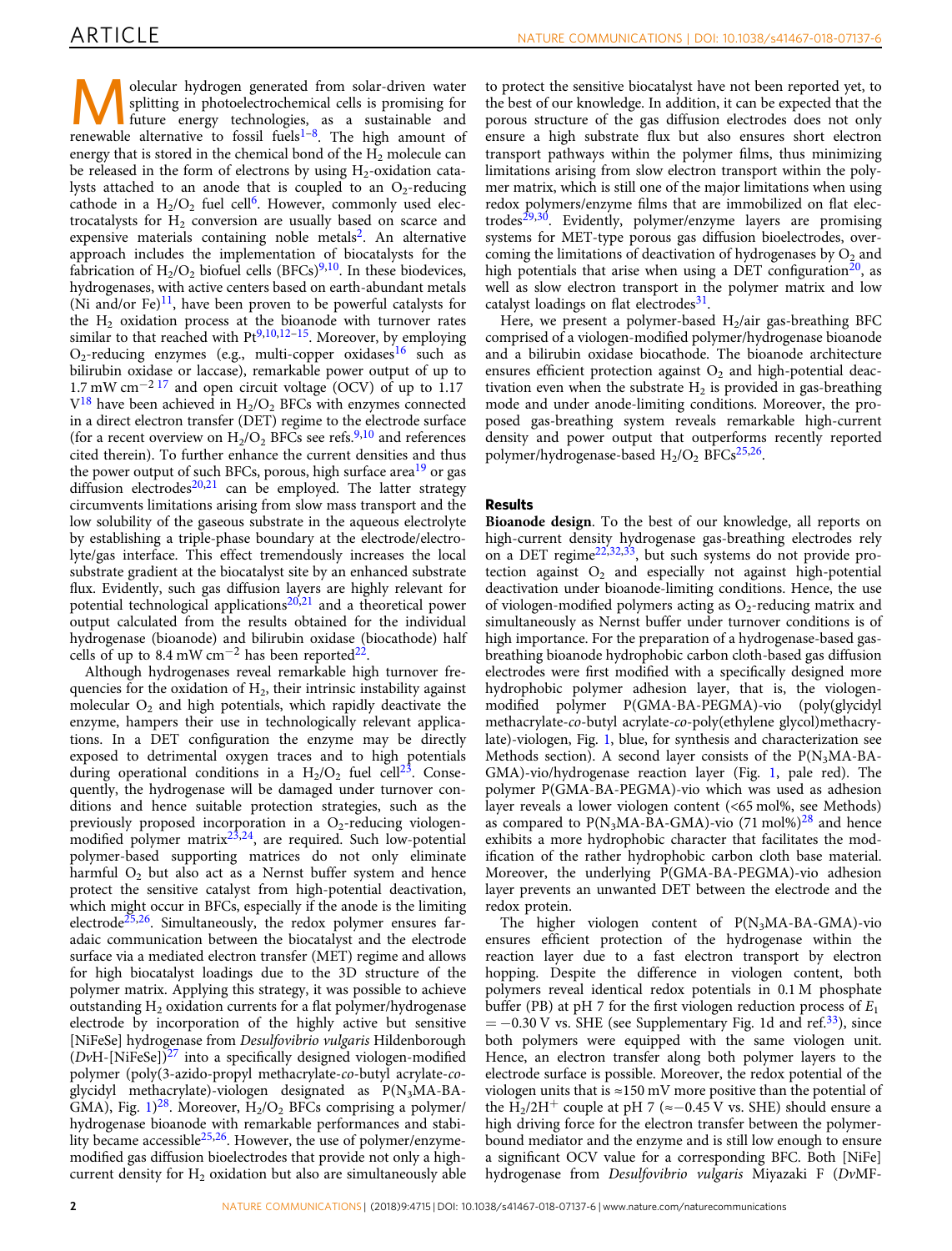**Molecular hydrogen generated from solar-driven water**<br>splitting in photoelectrochemical cells is promising for<br>future energy technologies, as a sustainable and<br>properly the focal fuelel<sup>-8</sup>. The bigh end of splitting in photoelectrochemical cells is promising for renewable alternative to fossil fuels<sup>[1](#page-7-0)-8</sup>. The high amount of energy that is stored in the chemical bond of the  $H_2$  molecule can be released in the form of electrons by using  $H_2$ -oxidation catalysts attached to an anode that is coupled to an  $O<sub>2</sub>$ -reducing cathode in a  $H_2/O_2$  fuel cell<sup>6</sup>. However, commonly used electrocatalysts for  $H<sub>2</sub>$  conversion are usually based on scarce and expensive materials containing noble metals<sup>2</sup>. An alternative approach includes the implementation of biocatalysts for the fabrication of  $H_2/O_2$  biofuel cells (BFCs)<sup>[9](#page-8-0),[10](#page-8-0)</sup>. In these biodevices, hydrogenases, with active centers based on earth-abundant metals (Ni and/or Fe) $^{11}$  $^{11}$  $^{11}$ , have been proven to be powerful catalysts for the  $H_2$  oxidation process at the bioanode with turnover rates similar to that reached with  $Pt^{9,10,12-15}$  $Pt^{9,10,12-15}$  $Pt^{9,10,12-15}$  $Pt^{9,10,12-15}$  $Pt^{9,10,12-15}$  $Pt^{9,10,12-15}$  $Pt^{9,10,12-15}$  $Pt^{9,10,12-15}$  $Pt^{9,10,12-15}$ . Moreover, by employing  $O_2$ -reducing enzymes (e.g., multi-copper oxidases<sup>[16](#page-8-0)</sup> such as bilirubin oxidase or laccase), remarkable power output of up to  $1.7 \text{ mW cm}^{-2}$  [17](#page-8-0) and open circuit voltage (OCV) of up to 1.17  $V^{18}$  have been achieved in  $H_2/O_2$  BFCs with enzymes connected in a direct electron transfer (DET) regime to the electrode surface (for a recent overview on  $H_2/O_2$  BFCs see refs.<sup>[9](#page-8-0),[10](#page-8-0)</sup> and references cited therein). To further enhance the current densities and thus the power output of such BFCs, porous, high surface area<sup>[19](#page-8-0)</sup> or gas diffusion electrodes $20,21$  $20,21$  $20,21$  can be employed. The latter strategy circumvents limitations arising from slow mass transport and the low solubility of the gaseous substrate in the aqueous electrolyte by establishing a triple-phase boundary at the electrode/electrolyte/gas interface. This effect tremendously increases the local substrate gradient at the biocatalyst site by an enhanced substrate flux. Evidently, such gas diffusion layers are highly relevant for potential technological applications<sup>[20,21](#page-8-0)</sup> and a theoretical power output calculated from the results obtained for the individual hydrogenase (bioanode) and bilirubin oxidase (biocathode) half cells of up to 8.4 mW cm<sup>-2</sup> has been reported<sup>[22](#page-8-0)</sup>.

Although hydrogenases reveal remarkable high turnover frequencies for the oxidation of  $H_2$ , their intrinsic instability against molecular  $O_2$  and high potentials, which rapidly deactivate the enzyme, hampers their use in technologically relevant applications. In a DET configuration the enzyme may be directly exposed to detrimental oxygen traces and to high potentials during operational conditions in a  $H_2/O_2$  fuel cell<sup>23</sup>. Consequently, the hydrogenase will be damaged under turnover conditions and hence suitable protection strategies, such as the previously proposed incorporation in a  $O<sub>2</sub>$ -reducing viologenmodified polymer matrix $2^{3,24}$ , are required. Such low-potential polymer-based supporting matrices do not only eliminate harmful  $O_2$  but also act as a Nernst buffer system and hence protect the sensitive catalyst from high-potential deactivation, which might occur in BFCs, especially if the anode is the limiting electrode<sup>25,26</sup>. Simultaneously, the redox polymer ensures faradaic communication between the biocatalyst and the electrode surface via a mediated electron transfer (MET) regime and allows for high biocatalyst loadings due to the 3D structure of the polymer matrix. Applying this strategy, it was possible to achieve outstanding  $H_2$  oxidation currents for a flat polymer/hydrogenase electrode by incorporation of the highly active but sensitive [NiFeSe] hydrogenase from Desulfovibrio vulgaris Hildenborough  $(DvH-[NiFeSe])<sup>27</sup>$  $(DvH-[NiFeSe])<sup>27</sup>$  $(DvH-[NiFeSe])<sup>27</sup>$  into a specifically designed viologen-modified polymer (poly(3-azido-propyl methacrylate-co-butyl acrylate-coglycidyl methacrylate)-viologen designated as P(N3MA-BA-GMA), Fig.  $1)^{28}$  $1)^{28}$ . Moreover,  $H_2/O_2$  BFCs comprising a polymer/ hydrogenase bioanode with remarkable performances and stability became accessible<sup>25,26</sup>. However, the use of polymer/enzymemodified gas diffusion bioelectrodes that provide not only a highcurrent density for  $H_2$  oxidation but also are simultaneously able

to protect the sensitive biocatalyst have not been reported yet, to the best of our knowledge. In addition, it can be expected that the porous structure of the gas diffusion electrodes does not only ensure a high substrate flux but also ensures short electron transport pathways within the polymer films, thus minimizing limitations arising from slow electron transport within the polymer matrix, which is still one of the major limitations when using redox polymers/enzyme films that are immobilized on flat electrodes<sup> $29,30$  $29,30$  $29,30$ </sup>. Evidently, polymer/enzyme layers are promising systems for MET-type porous gas diffusion bioelectrodes, overcoming the limitations of deactivation of hydrogenases by  $O<sub>2</sub>$  and high potentials that arise when using a DET configuration<sup>20</sup>, as well as slow electron transport in the polymer matrix and low catalyst loadings on flat electrodes $31$ .

Here, we present a polymer-based  $H_2$ /air gas-breathing BFC comprised of a viologen-modified polymer/hydrogenase bioanode and a bilirubin oxidase biocathode. The bioanode architecture ensures efficient protection against  $O_2$  and high-potential deactivation even when the substrate  $H_2$  is provided in gas-breathing mode and under anode-limiting conditions. Moreover, the proposed gas-breathing system reveals remarkable high-current density and power output that outperforms recently reported polymer/hydrogenase-based  $H_2/O_2$  BFCs<sup>25,26</sup>.

# Results

Bioanode design. To the best of our knowledge, all reports on high-current density hydrogenase gas-breathing electrodes rely on a DET regime<sup>22,32,33</sup>, but such systems do not provide protection against  $O_2$  and especially not against high-potential deactivation under bioanode-limiting conditions. Hence, the use of viologen-modified polymers acting as  $O_2$ -reducing matrix and simultaneously as Nernst buffer under turnover conditions is of high importance. For the preparation of a hydrogenase-based gasbreathing bioanode hydrophobic carbon cloth-based gas diffusion electrodes were first modified with a specifically designed more hydrophobic polymer adhesion layer, that is, the viologenmodified polymer P(GMA-BA-PEGMA)-vio (poly(glycidyl methacrylate-co-butyl acrylate-co-poly(ethylene glycol)methacrylate)-viologen, Fig. [1](#page-2-0), blue, for synthesis and characterization see Methods section). A second layer consists of the  $P(N_3MA-BA-$ GMA)-vio/hydrogenase reaction layer (Fig. [1,](#page-2-0) pale red). The polymer P(GMA-BA-PEGMA)-vio which was used as adhesion layer reveals a lower viologen content (<65 mol%, see Methods) as compared to  $P(N_3MA-BA-GMA)$ -vio (71 mol%)<sup>[28](#page-8-0)</sup> and hence exhibits a more hydrophobic character that facilitates the modification of the rather hydrophobic carbon cloth base material. Moreover, the underlying P(GMA-BA-PEGMA)-vio adhesion layer prevents an unwanted DET between the electrode and the redox protein.

The higher viologen content of  $P(N_3MA-BA-GMA)$ -vio ensures efficient protection of the hydrogenase within the reaction layer due to a fast electron transport by electron hopping. Despite the difference in viologen content, both polymers reveal identical redox potentials in 0.1 M phosphate buffer (PB) at pH 7 for the first viologen reduction process of  $E_1$  $= -0.30$  V vs. SHE (see Supplementary Fig. 1d and ref.<sup>[33](#page-8-0)</sup>), since both polymers were equipped with the same viologen unit. Hence, an electron transfer along both polymer layers to the electrode surface is possible. Moreover, the redox potential of the viologen units that is  $\approx$ 150 mV more positive than the potential of the H<sub>2</sub>/2H<sup>+</sup> couple at pH 7 (≈−0.45 V vs. SHE) should ensure a high driving force for the electron transfer between the polymerbound mediator and the enzyme and is still low enough to ensure a significant OCV value for a corresponding BFC. Both [NiFe] hydrogenase from Desulfovibrio vulgaris Miyazaki F (DvMF-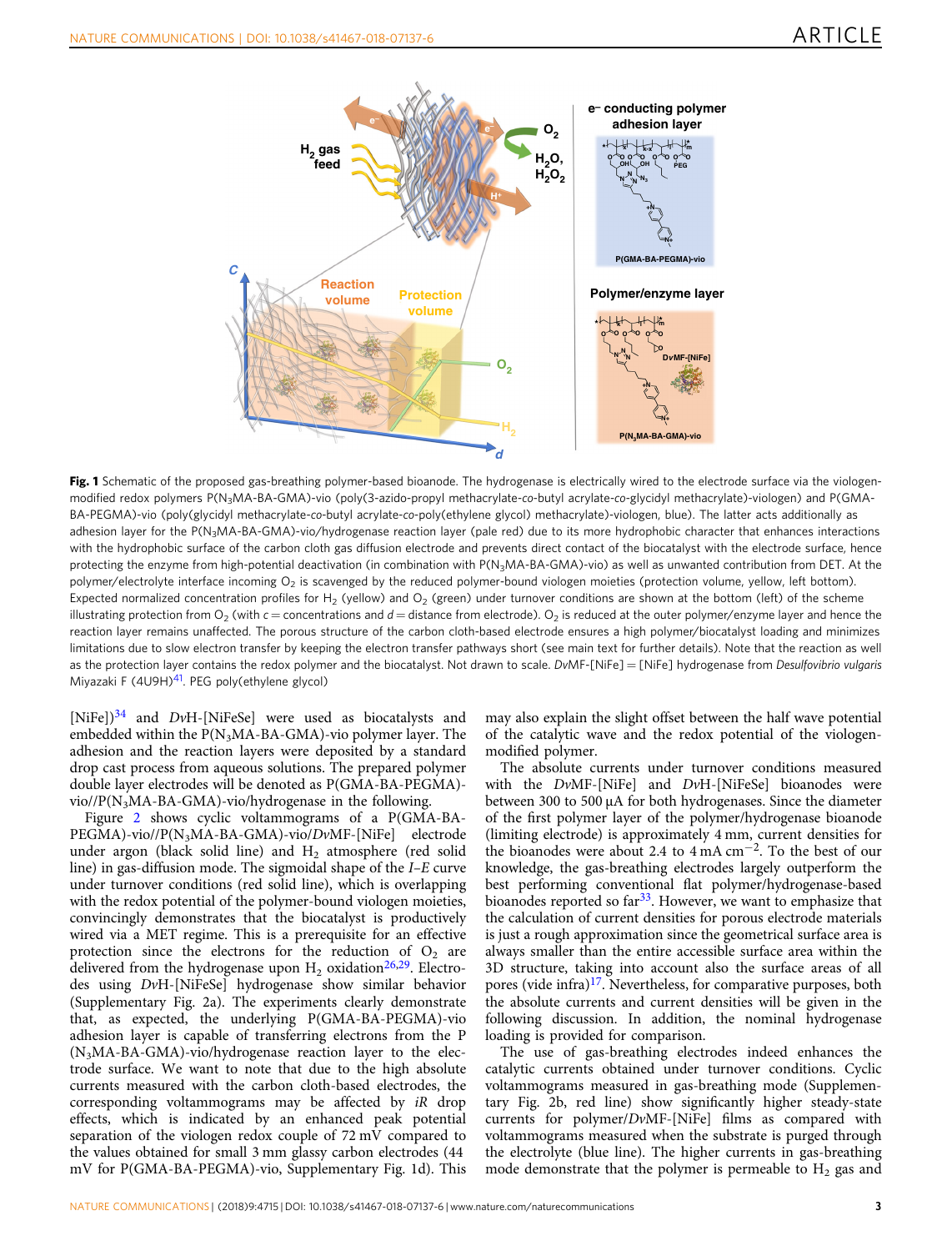<span id="page-2-0"></span>

Fig. 1 Schematic of the proposed gas-breathing polymer-based bioanode. The hydrogenase is electrically wired to the electrode surface via the viologenmodified redox polymers P(N3MA-BA-GMA)-vio (poly(3-azido-propyl methacrylate-co-butyl acrylate-co-glycidyl methacrylate)-viologen) and P(GMA-BA-PEGMA)-vio (poly(glycidyl methacrylate-co-butyl acrylate-co-poly(ethylene glycol) methacrylate)-viologen, blue). The latter acts additionally as adhesion layer for the P(N<sub>3</sub>MA-BA-GMA)-vio/hydrogenase reaction layer (pale red) due to its more hydrophobic character that enhances interactions with the hydrophobic surface of the carbon cloth gas diffusion electrode and prevents direct contact of the biocatalyst with the electrode surface, hence protecting the enzyme from high-potential deactivation (in combination with P(N<sub>3</sub>MA-BA-GMA)-vio) as well as unwanted contribution from DET. At the polymer/electrolyte interface incoming  $O_2$  is scavenged by the reduced polymer-bound viologen moieties (protection volume, yellow, left bottom). Expected normalized concentration profiles for H<sub>2</sub> (yellow) and O<sub>2</sub> (green) under turnover conditions are shown at the bottom (left) of the scheme illustrating protection from  $O_2$  (with c = concentrations and  $d =$  distance from electrode).  $O_2$  is reduced at the outer polymer/enzyme layer and hence the reaction layer remains unaffected. The porous structure of the carbon cloth-based electrode ensures a high polymer/biocatalyst loading and minimizes limitations due to slow electron transfer by keeping the electron transfer pathways short (see main text for further details). Note that the reaction as well as the protection layer contains the redox polymer and the biocatalyst. Not drawn to scale. DvMF-[NiFe] = [NiFe] hydrogenase from Desulfovibrio vulgaris Miyazaki F (4U9H)<sup>41</sup>. PEG poly(ethylene glycol)

[NiFe])<sup>[34](#page-8-0)</sup> and *DvH*-[NiFeSe] were used as biocatalysts and embedded within the  $P(N_3MA-BA-GMA)$ -vio polymer layer. The adhesion and the reaction layers were deposited by a standard drop cast process from aqueous solutions. The prepared polymer double layer electrodes will be denoted as P(GMA-BA-PEGMA) vio//P(N3MA-BA-GMA)-vio/hydrogenase in the following.

Figure [2](#page-3-0) shows cyclic voltammograms of a P(GMA-BA-PEGMA)-vio//P(N<sub>3</sub>MA-BA-GMA)-vio/DvMF-[NiFe] electrode under argon (black solid line) and  $H_2$  atmosphere (red solid line) in gas-diffusion mode. The sigmoidal shape of the I–E curve under turnover conditions (red solid line), which is overlapping with the redox potential of the polymer-bound viologen moieties, convincingly demonstrates that the biocatalyst is productively wired via a MET regime. This is a prerequisite for an effective protection since the electrons for the reduction of  $O_2$  are delivered from the hydrogenase upon  $H_2$  oxidation<sup>26,29</sup>. Electrodes using DvH-[NiFeSe] hydrogenase show similar behavior (Supplementary Fig. 2a). The experiments clearly demonstrate that, as expected, the underlying P(GMA-BA-PEGMA)-vio adhesion layer is capable of transferring electrons from the P (N3MA-BA-GMA)-vio/hydrogenase reaction layer to the electrode surface. We want to note that due to the high absolute currents measured with the carbon cloth-based electrodes, the corresponding voltammograms may be affected by iR drop effects, which is indicated by an enhanced peak potential separation of the viologen redox couple of 72 mV compared to the values obtained for small 3 mm glassy carbon electrodes (44 mV for P(GMA-BA-PEGMA)-vio, Supplementary Fig. 1d). This

may also explain the slight offset between the half wave potential of the catalytic wave and the redox potential of the viologenmodified polymer.

The absolute currents under turnover conditions measured with the DvMF-[NiFe] and DvH-[NiFeSe] bioanodes were between 300 to 500 µA for both hydrogenases. Since the diameter of the first polymer layer of the polymer/hydrogenase bioanode (limiting electrode) is approximately 4 mm, current densities for the bioanodes were about 2.4 to 4 mA cm<sup>−</sup>2. To the best of our knowledge, the gas-breathing electrodes largely outperform the best performing conventional flat polymer/hydrogenase-based bioanodes reported so far<sup>33</sup>. However, we want to emphasize that the calculation of current densities for porous electrode materials is just a rough approximation since the geometrical surface area is always smaller than the entire accessible surface area within the 3D structure, taking into account also the surface areas of all pores (vide infra)<sup>[17](#page-8-0)</sup>. Nevertheless, for comparative purposes, both the absolute currents and current densities will be given in the following discussion. In addition, the nominal hydrogenase loading is provided for comparison.

The use of gas-breathing electrodes indeed enhances the catalytic currents obtained under turnover conditions. Cyclic voltammograms measured in gas-breathing mode (Supplementary Fig. 2b, red line) show significantly higher steady-state currents for polymer/DvMF-[NiFe] films as compared with voltammograms measured when the substrate is purged through the electrolyte (blue line). The higher currents in gas-breathing mode demonstrate that the polymer is permeable to  $H_2$  gas and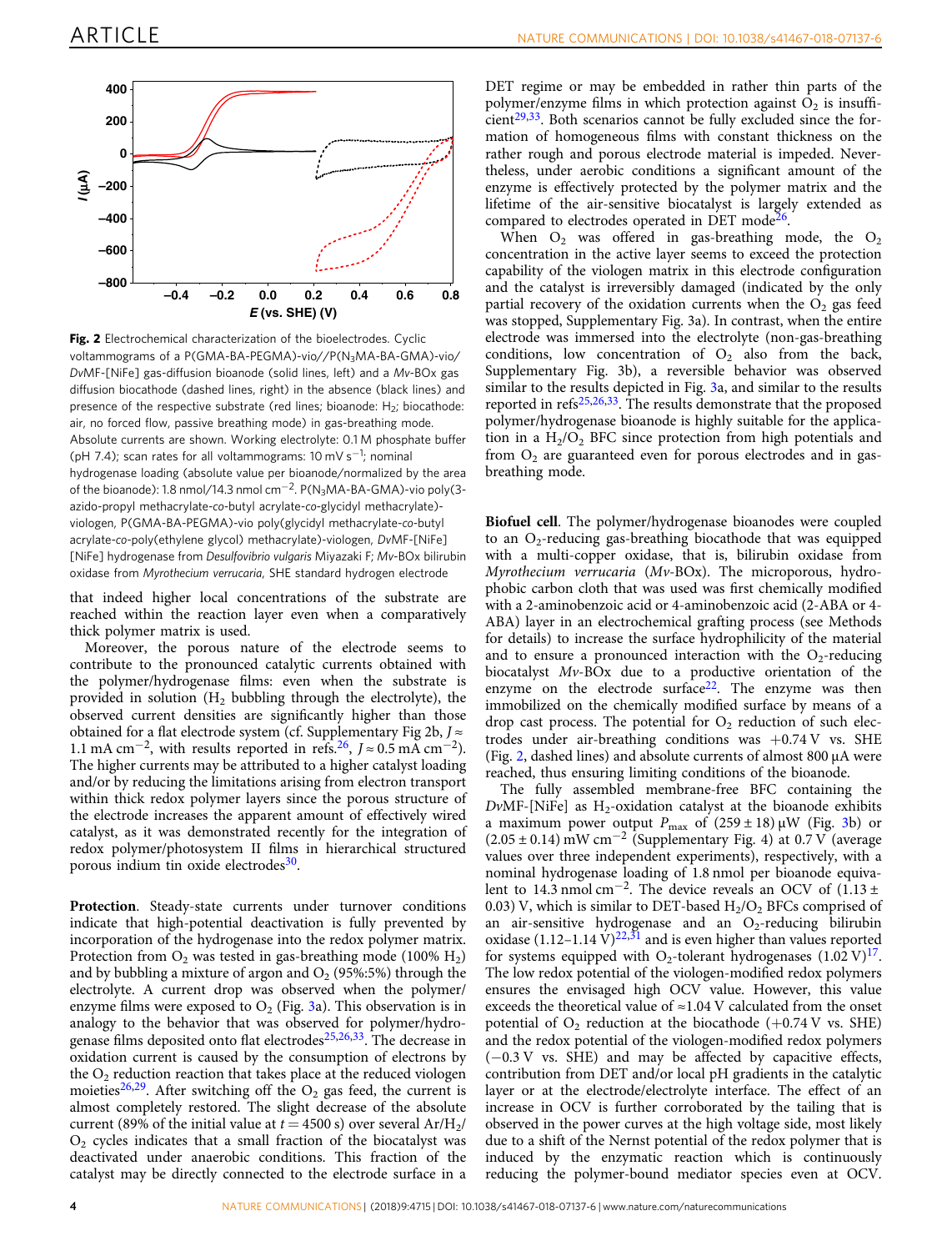<span id="page-3-0"></span>

Fig. 2 Electrochemical characterization of the bioelectrodes. Cyclic voltammograms of a P(GMA-BA-PEGMA)-vio//P(N<sub>3</sub>MA-BA-GMA)-vio/ DvMF-[NiFe] gas-diffusion bioanode (solid lines, left) and a Mv-BOx gas diffusion biocathode (dashed lines, right) in the absence (black lines) and presence of the respective substrate (red lines; bioanode:  $H_2$ ; biocathode: air, no forced flow, passive breathing mode) in gas-breathing mode. Absolute currents are shown. Working electrolyte: 0.1 M phosphate buffer (pH 7.4); scan rates for all voltammograms: 10 mV s<sup>-1</sup>; nominal hydrogenase loading (absolute value per bioanode/normalized by the area of the bioanode): 1.8 nmol/14.3 nmol cm<sup>-2</sup>. P(N<sub>3</sub>MA-BA-GMA)-vio poly(3azido-propyl methacrylate-co-butyl acrylate-co-glycidyl methacrylate) viologen, P(GMA-BA-PEGMA)-vio poly(glycidyl methacrylate-co-butyl acrylate-co-poly(ethylene glycol) methacrylate)-viologen, DvMF-[NiFe] [NiFe] hydrogenase from Desulfovibrio vulgaris Miyazaki F; Mv-BOx bilirubin oxidase from Myrothecium verrucaria, SHE standard hydrogen electrode

that indeed higher local concentrations of the substrate are reached within the reaction layer even when a comparatively thick polymer matrix is used.

Moreover, the porous nature of the electrode seems to contribute to the pronounced catalytic currents obtained with the polymer/hydrogenase films: even when the substrate is provided in solution  $(H_2)$  bubbling through the electrolyte), the observed current densities are significantly higher than those obtained for a flat electrode system (cf. Supplementary Fig 2b,  $J \approx$ 1.1 mA cm<sup>-2</sup>, with results reported in refs.<sup>[26](#page-8-0)</sup>,  $J \approx 0.5$  mA cm<sup>-2</sup>). The higher currents may be attributed to a higher catalyst loading and/or by reducing the limitations arising from electron transport within thick redox polymer layers since the porous structure of the electrode increases the apparent amount of effectively wired catalyst, as it was demonstrated recently for the integration of redox polymer/photosystem II films in hierarchical structured porous indium tin oxide electrodes<sup>30</sup>.

Protection. Steady-state currents under turnover conditions indicate that high-potential deactivation is fully prevented by incorporation of the hydrogenase into the redox polymer matrix. Protection from  $O_2$  was tested in gas-breathing mode (100%  $H_2$ ) and by bubbling a mixture of argon and  $O_2$  (95%:5%) through the electrolyte. A current drop was observed when the polymer/ enzyme films were exposed to  $O_2$  (Fig. [3](#page-4-0)a). This observation is in analogy to the behavior that was observed for polymer/hydrogenase films deposited onto flat electrodes $25,26,33$  $25,26,33$  $25,26,33$  $25,26,33$ . The decrease in oxidation current is caused by the consumption of electrons by the  $O<sub>2</sub>$  reduction reaction that takes place at the reduced viologen moieties<sup>[26,29](#page-8-0)</sup>. After switching off the  $O_2$  gas feed, the current is almost completely restored. The slight decrease of the absolute current (89% of the initial value at  $t = 4500$  s) over several  $Ar/H<sub>2</sub>/$  $O<sub>2</sub>$  cycles indicates that a small fraction of the biocatalyst was deactivated under anaerobic conditions. This fraction of the catalyst may be directly connected to the electrode surface in a

DET regime or may be embedded in rather thin parts of the polymer/enzyme films in which protection against  $\overline{O}_2$  is insuffi- $cient<sup>29,33</sup>$  $cient<sup>29,33</sup>$  $cient<sup>29,33</sup>$  $cient<sup>29,33</sup>$  $cient<sup>29,33</sup>$ . Both scenarios cannot be fully excluded since the formation of homogeneous films with constant thickness on the rather rough and porous electrode material is impeded. Nevertheless, under aerobic conditions a significant amount of the enzyme is effectively protected by the polymer matrix and the lifetime of the air-sensitive biocatalyst is largely extended as compared to electrodes operated in DET mode<sup>[26](#page-8-0)</sup>.

When  $O_2$  was offered in gas-breathing mode, the  $O_2$ concentration in the active layer seems to exceed the protection capability of the viologen matrix in this electrode configuration and the catalyst is irreversibly damaged (indicated by the only partial recovery of the oxidation currents when the  $O<sub>2</sub>$  gas feed was stopped, Supplementary Fig. 3a). In contrast, when the entire electrode was immersed into the electrolyte (non-gas-breathing conditions, low concentration of  $O<sub>2</sub>$  also from the back, Supplementary Fig. 3b), a reversible behavior was observed similar to the results depicted in Fig. [3a](#page-4-0), and similar to the results reported in refs<sup>[25](#page-8-0),[26](#page-8-0),33</sup>. The results demonstrate that the proposed polymer/hydrogenase bioanode is highly suitable for the application in a  $H_2/O_2$  BFC since protection from high potentials and from  $O<sub>2</sub>$  are guaranteed even for porous electrodes and in gasbreathing mode.

Biofuel cell. The polymer/hydrogenase bioanodes were coupled to an  $O_2$ -reducing gas-breathing biocathode that was equipped with a multi-copper oxidase, that is, bilirubin oxidase from Myrothecium verrucaria (Mv-BOx). The microporous, hydrophobic carbon cloth that was used was first chemically modified with a 2-aminobenzoic acid or 4-aminobenzoic acid (2-ABA or 4- ABA) layer in an electrochemical grafting process (see Methods for details) to increase the surface hydrophilicity of the material and to ensure a pronounced interaction with the  $O_2$ -reducing biocatalyst Mv-BOx due to a productive orientation of the enzyme on the electrode surface<sup>22</sup>. The enzyme was then immobilized on the chemically modified surface by means of a drop cast process. The potential for  $O_2$  reduction of such electrodes under air-breathing conditions was  $+0.74$  V vs. SHE (Fig. 2, dashed lines) and absolute currents of almost 800 µA were reached, thus ensuring limiting conditions of the bioanode.

The fully assembled membrane-free BFC containing the  $DvMF-[NiFe]$  as  $H_2$ -oxidation catalyst at the bioanode exhibits a maximum power output  $P_{\text{max}}$  of  $(259 \pm 18) \mu$ W (Fig. [3](#page-4-0)b) or (2.05 ± 0.14) mW cm<sup>-2</sup> (Supplementary Fig. 4) at 0.7 V (average values over three independent experiments), respectively, with a nominal hydrogenase loading of 1.8 nmol per bioanode equivalent to 14.3 nmol cm<sup>-2</sup>. The device reveals an OCV of  $(1.13 \pm 1.1)$ 0.03) V, which is similar to DET-based  $H_2/O_2$  BFCs comprised of an air-sensitive hydrogenase and an  $O_2$ -reducing bilirubin oxidase  $(1.12-1.14 \text{ V})^{22,31}$  and is even higher than values reported for systems equipped with O<sub>2</sub>-tolerant hydrogenases  $(1.02 \text{ V})^{17}$ . The low redox potential of the viologen-modified redox polymers ensures the envisaged high OCV value. However, this value exceeds the theoretical value of ≈1.04 V calculated from the onset potential of  $O_2$  reduction at the biocathode (+0.74 V vs. SHE) and the redox potential of the viologen-modified redox polymers (−0.3 V vs. SHE) and may be affected by capacitive effects, contribution from DET and/or local pH gradients in the catalytic layer or at the electrode/electrolyte interface. The effect of an increase in OCV is further corroborated by the tailing that is observed in the power curves at the high voltage side, most likely due to a shift of the Nernst potential of the redox polymer that is induced by the enzymatic reaction which is continuously reducing the polymer-bound mediator species even at OCV.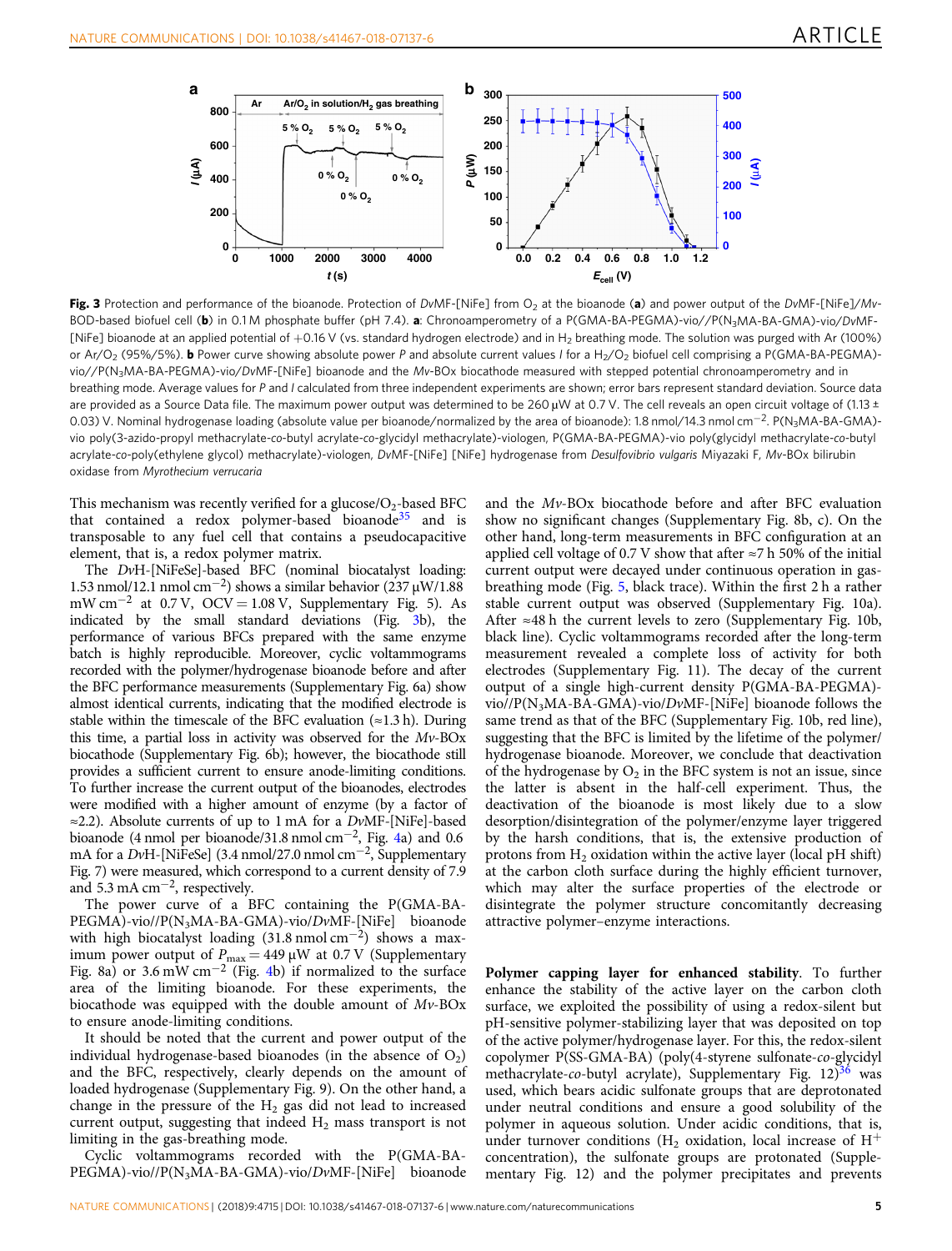<span id="page-4-0"></span>

Fig. 3 Protection and performance of the bioanode. Protection of DvMF-[NiFe] from  $O<sub>2</sub>$  at the bioanode (a) and power output of the DvMF-[NiFe]/Mv-BOD-based biofuel cell (b) in 0.1 M phosphate buffer (pH 7.4). a: Chronoamperometry of a P(GMA-BA-PEGMA)-vio//P(N<sub>3</sub>MA-BA-GMA)-vio/DvMF-[NiFe] bioanode at an applied potential of +0.16 V (vs. standard hydrogen electrode) and in H<sub>2</sub> breathing mode. The solution was purged with Ar (100%) or Ar/O<sub>2</sub> (95%/5%). **b** Power curve showing absolute power P and absolute current values I for a H<sub>2</sub>/O<sub>2</sub> biofuel cell comprising a P(GMA-BA-PEGMA)vio//P(N3MA-BA-PEGMA)-vio/DvMF-[NiFe] bioanode and the Mv-BOx biocathode measured with stepped potential chronoamperometry and in breathing mode. Average values for P and I calculated from three independent experiments are shown; error bars represent standard deviation. Source data are provided as a Source Data file. The maximum power output was determined to be 260 µW at 0.7 V. The cell reveals an open circuit voltage of (1.13 ± 0.03) V. Nominal hydrogenase loading (absolute value per bioanode/normalized by the area of bioanode): 1.8 nmol/14.3 nmol cm<sup>-2</sup>. P(N<sub>3</sub>MA-BA-GMA)vio poly(3-azido-propyl methacrylate-co-butyl acrylate-co-glycidyl methacrylate)-viologen, P(GMA-BA-PEGMA)-vio poly(glycidyl methacrylate-co-butyl acrylate-co-poly(ethylene glycol) methacrylate)-viologen, DvMF-[NiFe] [NiFe] hydrogenase from Desulfovibrio vulgaris Miyazaki F, Mv-BOx bilirubin oxidase from Myrothecium verrucaria

This mechanism was recently verified for a glucose/ $O_2$ -based BFC that contained a redox polymer-based bioanode<sup>35</sup> and is transposable to any fuel cell that contains a pseudocapacitive element, that is, a redox polymer matrix.

The DvH-[NiFeSe]-based BFC (nominal biocatalyst loading: 1.53 nmol/12.1 nmol cm<sup>-2</sup>) shows a similar behavior (237 µW/1.88 mW cm<sup>-2</sup> at 0.7 V, OCV = 1.08 V, Supplementary Fig. 5). As indicated by the small standard deviations (Fig. 3b), the performance of various BFCs prepared with the same enzyme batch is highly reproducible. Moreover, cyclic voltammograms recorded with the polymer/hydrogenase bioanode before and after the BFC performance measurements (Supplementary Fig. 6a) show almost identical currents, indicating that the modified electrode is stable within the timescale of the BFC evaluation  $(\approx 1.3 \text{ h})$ . During this time, a partial loss in activity was observed for the  $Mv$ -BOx biocathode (Supplementary Fig. 6b); however, the biocathode still provides a sufficient current to ensure anode-limiting conditions. To further increase the current output of the bioanodes, electrodes were modified with a higher amount of enzyme (by a factor of  $\approx$  2.2). Absolute currents of up to 1 mA for a DvMF-[NiFe]-based bioanode (4 nmol per bioanode/31.8 nmol cm<sup>-2</sup>, Fig. [4a](#page-5-0)) and 0.6 mA for a DvH-[NiFeSe] (3.4 nmol/27.0 nmol cm<sup>-2</sup>, Supplementary Fig. 7) were measured, which correspond to a current density of 7.9 and 5.3 mA  $cm<sup>-2</sup>$ , respectively.

The power curve of a BFC containing the P(GMA-BA-PEGMA)-vio//P(N3MA-BA-GMA)-vio/DvMF-[NiFe] bioanode with high biocatalyst loading (31.8 nmol cm<sup>-2</sup>) shows a maximum power output of  $P_{\text{max}} = 449 \,\mu\text{W}$  at 0.7 V (Supplementary Fig. 8a) or 3.6 mW cm<sup>-2</sup> (Fig. [4b](#page-5-0)) if normalized to the surface area of the limiting bioanode. For these experiments, the biocathode was equipped with the double amount of  $Mv$ -BOx to ensure anode-limiting conditions.

It should be noted that the current and power output of the individual hydrogenase-based bioanodes (in the absence of  $O_2$ ) and the BFC, respectively, clearly depends on the amount of loaded hydrogenase (Supplementary Fig. 9). On the other hand, a change in the pressure of the  $H_2$  gas did not lead to increased current output, suggesting that indeed  $H_2$  mass transport is not limiting in the gas-breathing mode.

Cyclic voltammograms recorded with the P(GMA-BA-PEGMA)-vio//P(N3MA-BA-GMA)-vio/DvMF-[NiFe] bioanode and the Mv-BOx biocathode before and after BFC evaluation show no significant changes (Supplementary Fig. 8b, c). On the other hand, long-term measurements in BFC configuration at an applied cell voltage of 0.7 V show that after  $\approx$ 7 h 50% of the initial current output were decayed under continuous operation in gasbreathing mode (Fig. [5](#page-5-0), black trace). Within the first 2 h a rather stable current output was observed (Supplementary Fig. 10a). After  $\approx$ 48 h the current levels to zero (Supplementary Fig. 10b, black line). Cyclic voltammograms recorded after the long-term measurement revealed a complete loss of activity for both electrodes (Supplementary Fig. 11). The decay of the current output of a single high-current density P(GMA-BA-PEGMA) vio//P(N3MA-BA-GMA)-vio/DvMF-[NiFe] bioanode follows the same trend as that of the BFC (Supplementary Fig. 10b, red line), suggesting that the BFC is limited by the lifetime of the polymer/ hydrogenase bioanode. Moreover, we conclude that deactivation of the hydrogenase by  $O_2$  in the BFC system is not an issue, since the latter is absent in the half-cell experiment. Thus, the deactivation of the bioanode is most likely due to a slow desorption/disintegration of the polymer/enzyme layer triggered by the harsh conditions, that is, the extensive production of protons from  $H_2$  oxidation within the active layer (local pH shift) at the carbon cloth surface during the highly efficient turnover, which may alter the surface properties of the electrode or disintegrate the polymer structure concomitantly decreasing attractive polymer–enzyme interactions.

Polymer capping layer for enhanced stability. To further enhance the stability of the active layer on the carbon cloth surface, we exploited the possibility of using a redox-silent but pH-sensitive polymer-stabilizing layer that was deposited on top of the active polymer/hydrogenase layer. For this, the redox-silent copolymer P(SS-GMA-BA) (poly(4-styrene sulfonate-co-glycidyl methacrylate-co-butyl acrylate), Supplementary Fig. 12)<sup>36</sup> was used, which bears acidic sulfonate groups that are deprotonated under neutral conditions and ensure a good solubility of the polymer in aqueous solution. Under acidic conditions, that is, under turnover conditions ( $H_2$  oxidation, local increase of  $H^+$ concentration), the sulfonate groups are protonated (Supplementary Fig. 12) and the polymer precipitates and prevents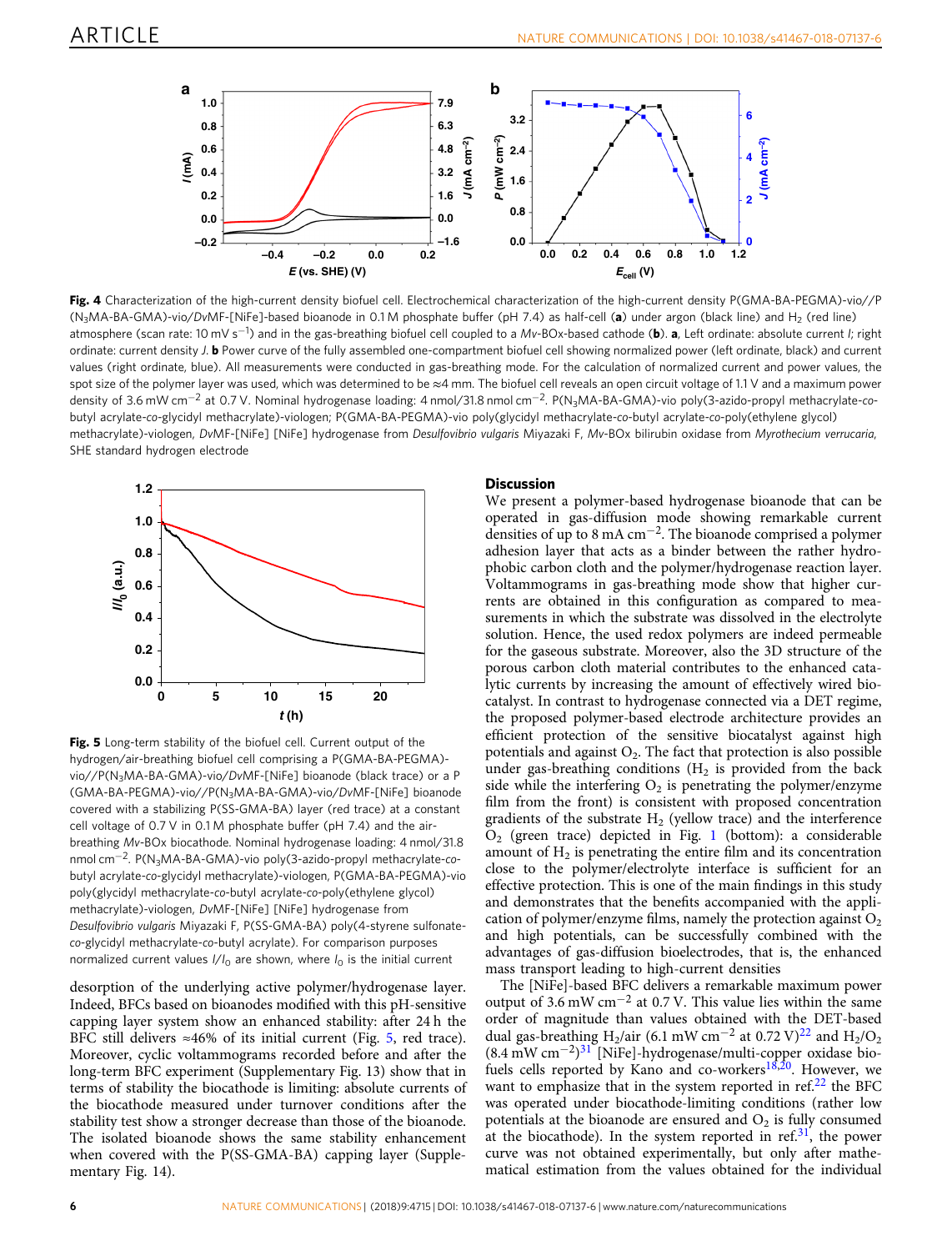<span id="page-5-0"></span>

Fig. 4 Characterization of the high-current density biofuel cell. Electrochemical characterization of the high-current density P(GMA-BA-PEGMA)-vio//P (N<sub>3</sub>MA-BA-GMA)-vio/DvMF-[NiFe]-based bioanode in 0.1 M phosphate buffer (pH 7.4) as half-cell (a) under argon (black line) and H<sub>2</sub> (red line) atmosphere (scan rate: 10 mV s<sup>−1</sup>) and in the gas-breathing biofuel cell coupled to a Mv-BOx-based cathode (b). **a**, Left ordinate: absolute current *I; righ*t ordinate: current density J. b Power curve of the fully assembled one-compartment biofuel cell showing normalized power (left ordinate, black) and current values (right ordinate, blue). All measurements were conducted in gas-breathing mode. For the calculation of normalized current and power values, the spot size of the polymer layer was used, which was determined to be ≈4 mm. The biofuel cell reveals an open circuit voltage of 1.1 V and a maximum power density of 3.6 mW cm<sup>-2</sup> at 0.7 V. Nominal hydrogenase loading: 4 nmol/31.8 nmol cm<sup>-2</sup>. P(N<sub>3</sub>MA-BA-GMA)-vio poly(3-azido-propyl methacrylate-cobutyl acrylate-co-glycidyl methacrylate)-viologen; P(GMA-BA-PEGMA)-vio poly(glycidyl methacrylate-co-butyl acrylate-co-poly(ethylene glycol) methacrylate)-viologen, DvMF-[NiFe] [NiFe] hydrogenase from Desulfovibrio vulgaris Miyazaki F, Mv-BOx bilirubin oxidase from Myrothecium verrucaria, SHE standard hydrogen electrode



Fig. 5 Long-term stability of the biofuel cell. Current output of the hydrogen/air-breathing biofuel cell comprising a P(GMA-BA-PEGMA) vio//P(N3MA-BA-GMA)-vio/DvMF-[NiFe] bioanode (black trace) or a P (GMA-BA-PEGMA)-vio//P(N3MA-BA-GMA)-vio/DvMF-[NiFe] bioanode covered with a stabilizing P(SS-GMA-BA) layer (red trace) at a constant cell voltage of 0.7 V in 0.1 M phosphate buffer (pH 7.4) and the airbreathing Mv-BOx biocathode. Nominal hydrogenase loading: 4 nmol/31.8 nmol cm<sup>-2</sup>. P(N<sub>3</sub>MA-BA-GMA)-vio poly(3-azido-propyl methacrylate-cobutyl acrylate-co-glycidyl methacrylate)-viologen, P(GMA-BA-PEGMA)-vio poly(glycidyl methacrylate-co-butyl acrylate-co-poly(ethylene glycol) methacrylate)-viologen, DvMF-[NiFe] [NiFe] hydrogenase from Desulfovibrio vulgaris Miyazaki F, P(SS-GMA-BA) poly(4-styrene sulfonateco-glycidyl methacrylate-co-butyl acrylate). For comparison purposes normalized current values  $I/I_0$  are shown, where  $I_0$  is the initial current

desorption of the underlying active polymer/hydrogenase layer. Indeed, BFCs based on bioanodes modified with this pH-sensitive capping layer system show an enhanced stability: after 24 h the BFC still delivers  $\approx 46\%$  of its initial current (Fig. 5, red trace). Moreover, cyclic voltammograms recorded before and after the long-term BFC experiment (Supplementary Fig. 13) show that in terms of stability the biocathode is limiting: absolute currents of the biocathode measured under turnover conditions after the stability test show a stronger decrease than those of the bioanode. The isolated bioanode shows the same stability enhancement when covered with the P(SS-GMA-BA) capping layer (Supplementary Fig. 14).

## **Discussion**

We present a polymer-based hydrogenase bioanode that can be operated in gas-diffusion mode showing remarkable current densities of up to 8 mA cm<sup>-2</sup>. The bioanode comprised a polymer adhesion layer that acts as a binder between the rather hydrophobic carbon cloth and the polymer/hydrogenase reaction layer. Voltammograms in gas-breathing mode show that higher currents are obtained in this configuration as compared to measurements in which the substrate was dissolved in the electrolyte solution. Hence, the used redox polymers are indeed permeable for the gaseous substrate. Moreover, also the 3D structure of the porous carbon cloth material contributes to the enhanced catalytic currents by increasing the amount of effectively wired biocatalyst. In contrast to hydrogenase connected via a DET regime, the proposed polymer-based electrode architecture provides an efficient protection of the sensitive biocatalyst against high potentials and against  $O_2$ . The fact that protection is also possible under gas-breathing conditions  $(H_2$  is provided from the back side while the interfering  $O_2$  is penetrating the polymer/enzyme film from the front) is consistent with proposed concentration gradients of the substrate  $H_2$  (yellow trace) and the interference  $O<sub>2</sub>$  (green trace) depicted in Fig. [1](#page-2-0) (bottom): a considerable amount of  $H_2$  is penetrating the entire film and its concentration close to the polymer/electrolyte interface is sufficient for an effective protection. This is one of the main findings in this study and demonstrates that the benefits accompanied with the application of polymer/enzyme films, namely the protection against  $O<sub>2</sub>$ and high potentials, can be successfully combined with the advantages of gas-diffusion bioelectrodes, that is, the enhanced mass transport leading to high-current densities

The [NiFe]-based BFC delivers a remarkable maximum power output of 3.6 mW cm<sup>-2</sup> at 0.7 V. This value lies within the same order of magnitude than values obtained with the DET-based dual gas-breathing H<sub>2</sub>/air (6.1 mW cm<sup>-2</sup> at 0.72 V)<sup>[22](#page-8-0)</sup> and H<sub>2</sub>/O<sub>2</sub> (8.4 mW cm<sup>−</sup>2)[31](#page-8-0) [NiFe]-hydrogenase/multi-copper oxidase bio-fuels cells reported by Kano and co-workers<sup>[18](#page-8-0),[20](#page-8-0)</sup>. However, we want to emphasize that in the system reported in  $ref<sub>1</sub>^{22}$  $ref<sub>1</sub>^{22}$  $ref<sub>1</sub>^{22}$  the BFC was operated under biocathode-limiting conditions (rather low potentials at the bioanode are ensured and  $O_2$  is fully consumed at the biocathode). In the system reported in ref.<sup>[31](#page-8-0)</sup>, the power curve was not obtained experimentally, but only after mathematical estimation from the values obtained for the individual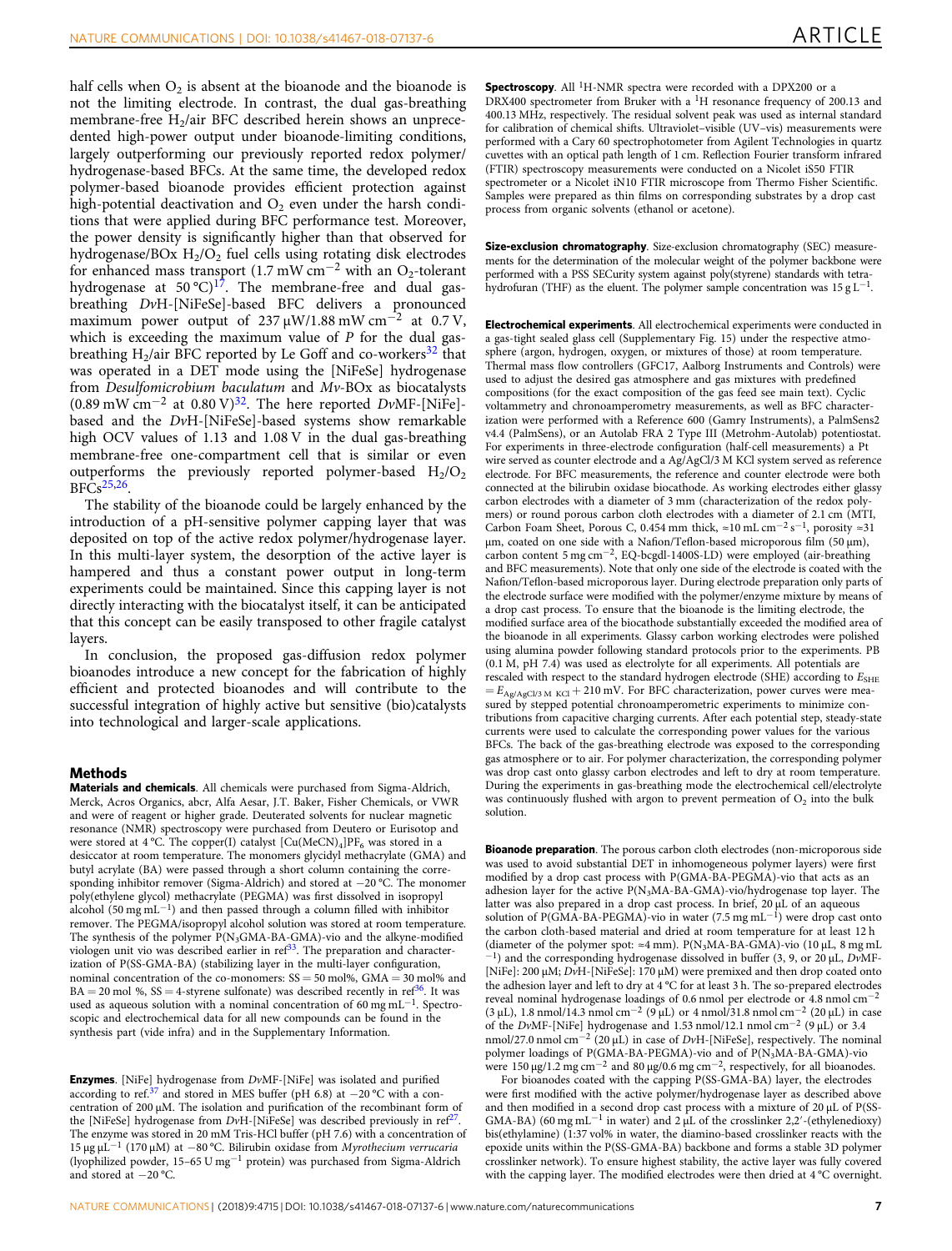half cells when  $O_2$  is absent at the bioanode and the bioanode is not the limiting electrode. In contrast, the dual gas-breathing membrane-free  $H_2$ /air BFC described herein shows an unprecedented high-power output under bioanode-limiting conditions, largely outperforming our previously reported redox polymer/ hydrogenase-based BFCs. At the same time, the developed redox polymer-based bioanode provides efficient protection against high-potential deactivation and  $O_2$  even under the harsh conditions that were applied during BFC performance test. Moreover, the power density is significantly higher than that observed for hydrogenase/BOx  $H_2/O_2$  fuel cells using rotating disk electrodes for enhanced mass transport (1.7 mW cm<sup>-2</sup> with an O<sub>2</sub>-tolerant hydrogenase at  $50^{\circ}C$ <sup>17</sup>. The membrane-free and dual gasbreathing DvH-[NiFeSe]-based BFC delivers a pronounced maximum power output of  $237 \mu W/1.88 \text{ mW cm}^{-2}$  at 0.7 V, which is exceeding the maximum value of  $P$  for the dual gasbreathing  $H_2$ /air BFC reported by Le Goff and co-workers<sup>[32](#page-8-0)</sup> that was operated in a DET mode using the [NiFeSe] hydrogenase from Desulfomicrobium baculatum and Mv-BOx as biocatalysts  $(0.89 \text{ mW cm}^{-2}$  at  $(0.80 \text{ V})^{32}$  $(0.80 \text{ V})^{32}$  $(0.80 \text{ V})^{32}$ . The here reported DvMF-[NiFe]based and the DvH-[NiFeSe]-based systems show remarkable high OCV values of 1.13 and 1.08 V in the dual gas-breathing membrane-free one-compartment cell that is similar or even outperforms the previously reported polymer-based  $H_2/O_2$  $BFCs<sup>25,26</sup>$ .

The stability of the bioanode could be largely enhanced by the introduction of a pH-sensitive polymer capping layer that was deposited on top of the active redox polymer/hydrogenase layer. In this multi-layer system, the desorption of the active layer is hampered and thus a constant power output in long-term experiments could be maintained. Since this capping layer is not directly interacting with the biocatalyst itself, it can be anticipated that this concept can be easily transposed to other fragile catalyst layers.

In conclusion, the proposed gas-diffusion redox polymer bioanodes introduce a new concept for the fabrication of highly efficient and protected bioanodes and will contribute to the successful integration of highly active but sensitive (bio)catalysts into technological and larger-scale applications.

#### **Methods**

Materials and chemicals. All chemicals were purchased from Sigma-Aldrich, Merck, Acros Organics, abcr, Alfa Aesar, J.T. Baker, Fisher Chemicals, or VWR and were of reagent or higher grade. Deuterated solvents for nuclear magnetic resonance (NMR) spectroscopy were purchased from Deutero or Eurisotop and were stored at 4 °C. The copper(I) catalyst  $[Cu(MeCN)<sub>4</sub>]PF<sub>6</sub>$  was stored in a desiccator at room temperature. The monomers glycidyl methacrylate (GMA) and butyl acrylate (BA) were passed through a short column containing the corresponding inhibitor remover (Sigma-Aldrich) and stored at −20 °C. The monomer poly(ethylene glycol) methacrylate (PEGMA) was first dissolved in isopropyl alcohol (50 mg mL<sup>−</sup>1) and then passed through a column filled with inhibitor remover. The PEGMA/isopropyl alcohol solution was stored at room temperature. The synthesis of the polymer P(N3GMA-BA-GMA)-vio and the alkyne-modified viologen unit vio was described earlier in  $\text{ref}^{33}$  $\text{ref}^{33}$  $\text{ref}^{33}$ . The preparation and characterization of P(SS-GMA-BA) (stabilizing layer in the multi-layer configuration, nominal concentration of the co-monomers:  $SS = 50$  mol%,  $GMA = 30$  mol% and  $BA = 20$  mol %,  $SS = 4$ -styrene sulfonate) was described recently in ref<sup>[36](#page-8-0)</sup>. It was used as aqueous solution with a nominal concentration of 60 mg mL<sup>−</sup>1. Spectroscopic and electrochemical data for all new compounds can be found in the synthesis part (vide infra) and in the Supplementary Information.

Enzymes. [NiFe] hydrogenase from DvMF-[NiFe] was isolated and purified according to ref.[37](#page-8-0) and stored in MES buffer (pH 6.8) at −20 °C with a concentration of 200 µM. The isolation and purification of the recombinant form of the [NiFeSe] hydrogenase from DvH-[NiFeSe] was described previously in ref<sup>27</sup> The enzyme was stored in 20 mM Tris-HCl buffer (pH 7.6) with a concentration of 15 µg µL−<sup>1</sup> (170 µM) at −80 °C. Bilirubin oxidase from Myrothecium verrucaria (lyophilized powder, 15–65 U mg−<sup>1</sup> protein) was purchased from Sigma-Aldrich and stored at −20 °C.

Spectroscopy. All <sup>1</sup>H-NMR spectra were recorded with a DPX200 or a DRX400 spectrometer from Bruker with a <sup>1</sup>H resonance frequency of 200.13 and 400.13 MHz, respectively. The residual solvent peak was used as internal standard for calibration of chemical shifts. Ultraviolet–visible (UV–vis) measurements were performed with a Cary 60 spectrophotometer from Agilent Technologies in quartz cuvettes with an optical path length of 1 cm. Reflection Fourier transform infrared (FTIR) spectroscopy measurements were conducted on a Nicolet iS50 FTIR spectrometer or a Nicolet iN10 FTIR microscope from Thermo Fisher Scientific. Samples were prepared as thin films on corresponding substrates by a drop cast process from organic solvents (ethanol or acetone).

Size-exclusion chromatography. Size-exclusion chromatography (SEC) measurements for the determination of the molecular weight of the polymer backbone were performed with a PSS SECurity system against poly(styrene) standards with tetrahydrofuran (THF) as the eluent. The polymer sample concentration was 15 g L<sup>−</sup>1.

Electrochemical experiments. All electrochemical experiments were conducted in a gas-tight sealed glass cell (Supplementary Fig. 15) under the respective atmosphere (argon, hydrogen, oxygen, or mixtures of those) at room temperature. Thermal mass flow controllers (GFC17, Aalborg Instruments and Controls) were used to adjust the desired gas atmosphere and gas mixtures with predefined compositions (for the exact composition of the gas feed see main text). Cyclic voltammetry and chronoamperometry measurements, as well as BFC characterization were performed with a Reference 600 (Gamry Instruments), a PalmSens2 v4.4 (PalmSens), or an Autolab FRA 2 Type III (Metrohm-Autolab) potentiostat. For experiments in three-electrode configuration (half-cell measurements) a Pt wire served as counter electrode and a Ag/AgCl/3 M KCl system served as reference electrode. For BFC measurements, the reference and counter electrode were both connected at the bilirubin oxidase biocathode. As working electrodes either glassy carbon electrodes with a diameter of 3 mm (characterization of the redox polymers) or round porous carbon cloth electrodes with a diameter of 2.1 cm (MTI, Carbon Foam Sheet, Porous C, 0.454 mm thick, ≈10 mL cm−<sup>2</sup> s<sup>−</sup>1, porosity ≈31 μm, coated on one side with a Nafion/Teflon-based microporous film (50 μm), carbon content 5 mg cm<sup>−</sup>2, EQ-bcgdl-1400S-LD) were employed (air-breathing and BFC measurements). Note that only one side of the electrode is coated with the Nafion/Teflon-based microporous layer. During electrode preparation only parts of the electrode surface were modified with the polymer/enzyme mixture by means of a drop cast process. To ensure that the bioanode is the limiting electrode, the modified surface area of the biocathode substantially exceeded the modified area of the bioanode in all experiments. Glassy carbon working electrodes were polished using alumina powder following standard protocols prior to the experiments. PB (0.1 M, pH 7.4) was used as electrolyte for all experiments. All potentials are rescaled with respect to the standard hydrogen electrode (SHE) according to  $E_{\rm SHE}$  $= E_{\text{Ag/AgCl/3 M KCl}} + 210 \text{ mV}$ . For BFC characterization, power curves were measured by stepped potential chronoamperometric experiments to minimize contributions from capacitive charging currents. After each potential step, steady-state currents were used to calculate the corresponding power values for the various BFCs. The back of the gas-breathing electrode was exposed to the corresponding gas atmosphere or to air. For polymer characterization, the corresponding polymer was drop cast onto glassy carbon electrodes and left to dry at room temperature. During the experiments in gas-breathing mode the electrochemical cell/electrolyte was continuously flushed with argon to prevent permeation of  $O<sub>2</sub>$  into the bulk solution.

Bioanode preparation. The porous carbon cloth electrodes (non-microporous side was used to avoid substantial DET in inhomogeneous polymer layers) were first modified by a drop cast process with P(GMA-BA-PEGMA)-vio that acts as an adhesion layer for the active  $P(N_3MA-BA-GMA)$ -vio/hydrogenase top layer. The latter was also prepared in a drop cast process. In brief, 20 µL of an aqueous solution of P(GMA-BA-PEGMA)-vio in water (7.5 mg mL<sup>-1</sup>) were drop cast onto the carbon cloth-based material and dried at room temperature for at least 12 h (diameter of the polymer spot:  $\approx$ 4 mm). P(N<sub>3</sub>MA-BA-GMA)-vio (10 µL, 8 mg mL <sup>-1</sup>) and the corresponding hydrogenase dissolved in buffer (3, 9, or 20 μL, DvMF-[NiFe]: 200 µM; DvH-[NiFeSe]: 170 µM) were premixed and then drop coated onto the adhesion layer and left to dry at 4 °C for at least 3 h. The so-prepared electrodes reveal nominal hydrogenase loadings of 0.6 nmol per electrode or 4.8 nmol cm−<sup>2</sup> (3 µL), 1.8 nmol/14.3 nmol cm−<sup>2</sup> (9 µL) or 4 nmol/31.8 nmol cm−<sup>2</sup> (20 µL) in case of the DvMF-[NiFe] hydrogenase and 1.53 nmol/12.1 nmol cm<sup>-2</sup> (9 µL) or 3.4 nmol/27.0 nmol cm−<sup>2</sup> (20 µL) in case of DvH-[NiFeSe], respectively. The nominal polymer loadings of P(GMA-BA-PEGMA)-vio and of P(N<sub>3</sub>MA-BA-GMA)-vio were 150 µg/1.2 mg cm<sup>−2</sup> and 80 µg/0.6 mg cm<sup>−2</sup>, respectively, for all bioanodes.

For bioanodes coated with the capping P(SS-GMA-BA) layer, the electrodes were first modified with the active polymer/hydrogenase layer as described above and then modified in a second drop cast process with a mixture of 20 µL of P(SS-GMA-BA) (60 mg mL−<sup>1</sup> in water) and 2 µL of the crosslinker 2,2′-(ethylenedioxy) bis(ethylamine) (1:37 vol% in water, the diamino-based crosslinker reacts with the epoxide units within the P(SS-GMA-BA) backbone and forms a stable 3D polymer crosslinker network). To ensure highest stability, the active layer was fully covered with the capping layer. The modified electrodes were then dried at 4 °C overnight.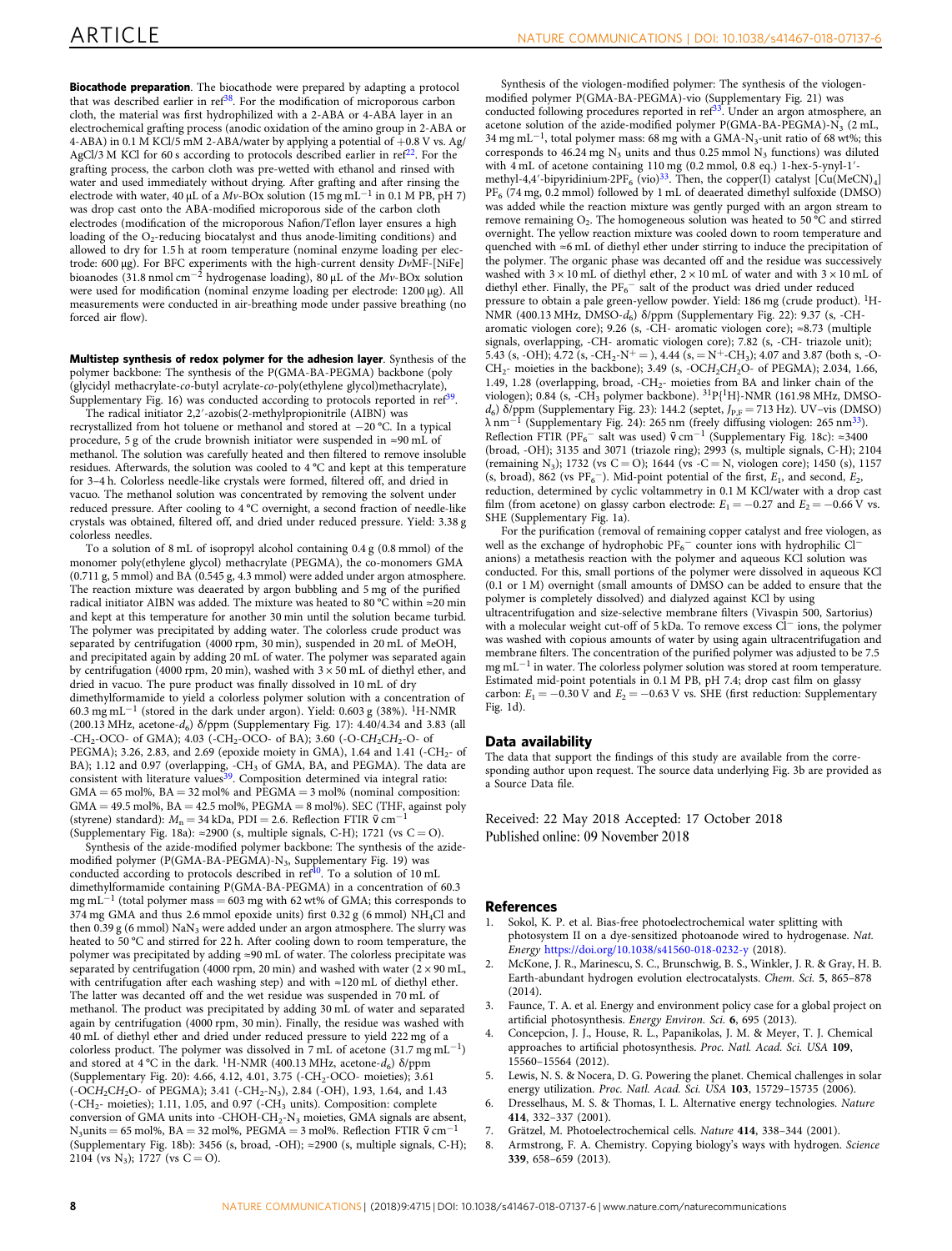<span id="page-7-0"></span>**Biocathode preparation**. The biocathode were prepared by adapting a protocol that was described earlier in  $\text{ref}^{38}$ . For the modification of microporous carbon cloth, the material was first hydrophilized with a 2-ABA or 4-ABA layer in an electrochemical grafting process (anodic oxidation of the amino group in 2-ABA or 4-ABA) in 0.1 M KCl/5 mM 2-ABA/water by applying a potential of  $+0.8$  V vs. Ag/ AgCl/3 M KCl for 60 s according to protocols described earlier in ref<sup>22</sup>. For the grafting process, the carbon cloth was pre-wetted with ethanol and rinsed with water and used immediately without drying. After grafting and after rinsing the electrode with water, 40 µL of a  $Mv$ -BOx solution (15 mg mL<sup>-1</sup> in 0.1 M PB, pH 7) was drop cast onto the ABA-modified microporous side of the carbon cloth electrodes (modification of the microporous Nafion/Teflon layer ensures a high loading of the  $O_2$ -reducing biocatalyst and thus anode-limiting conditions) and allowed to dry for 1.5 h at room temperature (nominal enzyme loading per electrode: 600 µg). For BFC experiments with the high-current density DvMF-[NiFe] bioanodes (31.8 nmol cm−<sup>2</sup> hydrogenase loading), 80 µL of the Mv-BOx solution were used for modification (nominal enzyme loading per electrode: 1200 µg). All measurements were conducted in air-breathing mode under passive breathing (no forced air flow).

Multistep synthesis of redox polymer for the adhesion layer. Synthesis of the polymer backbone: The synthesis of the P(GMA-BA-PEGMA) backbone (poly (glycidyl methacrylate-co-butyl acrylate-co-poly(ethylene glycol)methacrylate), Supplementary Fig. 16) was conducted according to protocols reported in ref<sup>39</sup>.

The radical initiator 2,2′-azobis(2-methylpropionitrile (AIBN) was recrystallized from hot toluene or methanol and stored at −20 °C. In a typical procedure, 5 g of the crude brownish initiator were suspended in ≈90 mL of methanol. The solution was carefully heated and then filtered to remove insoluble residues. Afterwards, the solution was cooled to 4 °C and kept at this temperature for 3–4 h. Colorless needle-like crystals were formed, filtered off, and dried in vacuo. The methanol solution was concentrated by removing the solvent under reduced pressure. After cooling to 4 °C overnight, a second fraction of needle-like crystals was obtained, filtered off, and dried under reduced pressure. Yield: 3.38 g colorless needles.

To a solution of 8 mL of isopropyl alcohol containing 0.4 g (0.8 mmol) of the monomer poly(ethylene glycol) methacrylate (PEGMA), the co-monomers GMA (0.711 g, 5 mmol) and BA (0.545 g, 4.3 mmol) were added under argon atmosphere. The reaction mixture was deaerated by argon bubbling and 5 mg of the purified radical initiator AIBN was added. The mixture was heated to 80 °C within ≈20 min and kept at this temperature for another 30 min until the solution became turbid. The polymer was precipitated by adding water. The colorless crude product was separated by centrifugation (4000 rpm, 30 min), suspended in 20 mL of MeOH, and precipitated again by adding 20 mL of water. The polymer was separated again by centrifugation (4000 rpm, 20 min), washed with  $3 \times 50$  mL of diethyl ether, and dried in vacuo. The pure product was finally dissolved in 10 mL of dry dimethylformamide to yield a colorless polymer solution with a concentration of 60.3 mg mL−<sup>1</sup> (stored in the dark under argon). Yield: 0.603 g (38%). 1H-NMR (200.13 MHz, acetone- $d_6$ ) δ/ppm (Supplementary Fig. 17): 4.40/4.34 and 3.83 (all  $-CH_2-OCO-$  of GMA); 4.03 ( $-CH_2-OCO-$  of BA); 3.60 ( $-O-CH_2CH_2-O-$  of PEGMA); 3.26, 2.83, and 2.69 (epoxide moiety in GMA), 1.64 and 1.41 (-CH<sub>2</sub>- of BA); 1.12 and 0.97 (overlapping, -CH<sub>3</sub> of GMA, BA, and PEGMA). The data are consistent with literature values<sup>39</sup>. Composition determined via integral ratio:  $GMA = 65$  mol%,  $BA = 32$  mol% and  $PEGMA = 3$  mol% (nominal composition:  $GMA = 49.5$  mol%,  $BA = 42.5$  mol%,  $PEGMA = 8$  mol%). SEC (THF, against poly (styrene) standard):  $M_n = 34$  kDa, PDI = 2.6. Reflection FTIR  $\tilde{v}$  cm<sup>-1</sup> (Supplementary Fig. 18a):  $\approx$  2900 (s, multiple signals, C-H); 1721 (vs C = O).

Synthesis of the azide-modified polymer backbone: The synthesis of the azidemodified polymer (P(GMA-BA-PEGMA)-N<sub>3</sub>, Supplementary Fig. 19) was<br>conducted according to protocols described in ref<sup>40</sup>. To a solution of 10 mL dimethylformamide containing P(GMA-BA-PEGMA) in a concentration of 60.3 mg mL<sup>-1</sup> (total polymer mass = 603 mg with 62 wt% of GMA; this corresponds to 374 mg GMA and thus 2.6 mmol epoxide units) first 0.32 g (6 mmol) NH4Cl and then 0.39 g (6 mmol)  $\text{NaN}_3$  were added under an argon atmosphere. The slurry was heated to 50 °C and stirred for 22 h. After cooling down to room temperature, the polymer was precipitated by adding ≈90 mL of water. The colorless precipitate was separated by centrifugation (4000 rpm, 20 min) and washed with water ( $2 \times 90$  mL, with centrifugation after each washing step) and with ≈120 mL of diethyl ether. The latter was decanted off and the wet residue was suspended in 70 mL of methanol. The product was precipitated by adding 30 mL of water and separated again by centrifugation (4000 rpm, 30 min). Finally, the residue was washed with 40 mL of diethyl ether and dried under reduced pressure to yield 222 mg of a colorless product. The polymer was dissolved in 7 mL of acetone (31.7 mg mL<sup>−</sup>1) and stored at  $4^{\circ}$ C in the dark. <sup>1</sup>H-NMR (400.13 MHz, acetone- $d_6$ )  $\delta$ /ppm (Supplementary Fig. 20): 4.66, 4.12, 4.01, 3.75 (-CH<sub>2</sub>-OCO- moieties); 3.61 (-OCH2CH2O- of PEGMA); 3.41 (-CH2-N3), 2.84 (-OH), 1.93, 1.64, and 1.43 (-CH<sub>2</sub>- moieties); 1.11, 1.05, and 0.97 (-CH<sub>3</sub> units). Composition: complete conversion of GMA units into -CHOH-CH<sub>2</sub>-N<sub>3</sub> moieties, GMA signals are absent, N<sub>3</sub>units = 65 mol%, BA = 32 mol%, PEGMA = 3 mol%. Reflection FTIR  $\tilde{v}$  cm<sup>-1</sup> (Supplementary Fig. 18b): 3456 (s, broad, -OH); ≈2900 (s, multiple signals, C-H); 2104 (vs N<sub>3</sub>); 1727 (vs C = O).

Synthesis of the viologen-modified polymer: The synthesis of the viologenmodified polymer P(GMA-BA-PEGMA)-vio (Supplementary Fig. 21) was conducted following procedures reported in  $\text{ref}^{33}$ . Under an argon atmosphere, an acetone solution of the azide-modified polymer P(GMA-BA-PEGMA)- $\overline{N_3}$  (2 mL, 34 mg mL<sup>−</sup>1, total polymer mass: 68 mg with a GMA-N3-unit ratio of 68 wt%; this corresponds to 46.24 mg  $N_3$  units and thus 0.25 mmol  $N_3$  functions) was diluted with 4 mL of acetone containing 110 mg (0.2 mmol, 0.8 eq.) 1-hex-5-ynyl-1' methyl-4,4′-bipyridinium·2PF<sub>6</sub> (vio)<sup>33</sup>. Then, the copper(I) catalyst [Cu(MeCN)<sub>4</sub>]  $\mathrm{PF}_6$  (74 mg, 0.2 mmol) followed by 1 mL of deaerated dimethyl sulfoxide (DMSO) was added while the reaction mixture was gently purged with an argon stream to remove remaining  $O_2$ . The homogeneous solution was heated to 50 °C and stirred overnight. The yellow reaction mixture was cooled down to room temperature and quenched with ≈6 mL of diethyl ether under stirring to induce the precipitation of the polymer. The organic phase was decanted off and the residue was successively washed with  $3 \times 10$  mL of diethyl ether,  $2 \times 10$  mL of water and with  $3 \times 10$  mL of diethyl ether. Finally, the PF<sub>6</sub><sup>-</sup> salt of the product was dried under reduced pressure to obtain a pale green-yellow powder. Yield: 186 mg (crude product). 1H-NMR (400.13 MHz, DMSO-d6) δ/ppm (Supplementary Fig. 22): 9.37 (s, -CHaromatic viologen core); 9.26 (s, -CH- aromatic viologen core); ≈8.73 (multiple signals, overlapping, -CH- aromatic viologen core); 7.82 (s, -CH- triazole unit); 5.43 (s, -OH);  $4.72$  (s, -CH<sub>2</sub>-N<sup>+</sup> = ), 4.44 (s, = N<sup>+</sup>-CH<sub>3</sub>); 4.07 and 3.87 (both s, -O- $CH<sub>2</sub>$ - moieties in the backbone); 3.49 (s, -OCH<sub>2</sub>CH<sub>2</sub>O- of PEGMA); 2.034, 1.66, 1.49, 1.28 (overlapping, broad,  $-CH_2$ - moieties from BA and linker chain of the viologen); 0.84 (s, -CH<sub>3</sub> polymer backbone).  ${}^{31}P{^1H}$ -NMR (161.98 MHz, DMSO $d<sub>6</sub>$ ) δ/ppm (Supplementary Fig. 23): 144.2 (septet,  $J<sub>P,F</sub> = 713$  Hz). UV–vis (DMSO)  $\lambda$  nm<sup>-1</sup> (Supplementary Fig. 24): 265 nm (freely diffusing viologen: 265 nm<sup>33</sup>). Reflection FTIR (PF<sub>6</sub><sup>-</sup> salt was used)  $\tilde{v}$  cm<sup>-1</sup> (Supplementary Fig. 18c): ≈3400 (broad, -OH); 3135 and 3071 (triazole ring); 2993 (s, multiple signals, C-H); 2104 (remaining N<sub>3</sub>); 1732 (vs C = O); 1644 (vs - C = N, viologen core); 1450 (s), 1157 (s, broad), 862 (vs  $PF_6^-$ ). Mid-point potential of the first,  $E_1$ , and second,  $E_2$ , reduction, determined by cyclic voltammetry in 0.1 M KCl/water with a drop cast film (from acetone) on glassy carbon electrode:  $E_1 = -0.27$  and  $E_2 = -0.66$  V vs. SHE (Supplementary Fig. 1a).

For the purification (removal of remaining copper catalyst and free viologen, as well as the exchange of hydrophobic PF<sub>6</sub><sup>−</sup> counter ions with hydrophilic Cl<sup>−</sup> anions) a metathesis reaction with the polymer and aqueous KCl solution was conducted. For this, small portions of the polymer were dissolved in aqueous KCl (0.1 or 1 M) overnight (small amounts of DMSO can be added to ensure that the polymer is completely dissolved) and dialyzed against KCl by using ultracentrifugation and size-selective membrane filters (Vivaspin 500, Sartorius) with a molecular weight cut-off of 5 kDa. To remove excess Cl<sup>−</sup> ions, the polymer was washed with copious amounts of water by using again ultracentrifugation and membrane filters. The concentration of the purified polymer was adjusted to be 7.5 mg mL−<sup>1</sup> in water. The colorless polymer solution was stored at room temperature. Estimated mid-point potentials in 0.1 M PB, pH 7.4; drop cast film on glassy carbon:  $E_1 = -0.30$  V and  $E_2 = -0.63$  V vs. SHE (first reduction: Supplementary Fig. 1d).

#### Data availability

The data that support the findings of this study are available from the corresponding author upon request. The source data underlying Fig. 3b are provided as a Source Data file.

Received: 22 May 2018 Accepted: 17 October 2018 Published online: 09 November 2018

#### References

- Sokol, K. P. et al. Bias-free photoelectrochemical water splitting with photosystem II on a dye-sensitized photoanode wired to hydrogenase. Nat. Energy <https://doi.org/10.1038/s41560-018-0232-y> (2018).
- 2. McKone, J. R., Marinescu, S. C., Brunschwig, B. S., Winkler, J. R. & Gray, H. B. Earth-abundant hydrogen evolution electrocatalysts. Chem. Sci. 5, 865–878  $(2014)$
- 3. Faunce, T. A. et al. Energy and environment policy case for a global project on artificial photosynthesis. Energy Environ. Sci. 6, 695 (2013).
- 4. Concepcion, J. J., House, R. L., Papanikolas, J. M. & Meyer, T. J. Chemical approaches to artificial photosynthesis. Proc. Natl. Acad. Sci. USA 109, 15560–15564 (2012).
- Lewis, N. S. & Nocera, D. G. Powering the planet. Chemical challenges in solar energy utilization. Proc. Natl. Acad. Sci. USA 103, 15729-15735 (2006).
- 6. Dresselhaus, M. S. & Thomas, I. L. Alternative energy technologies. Nature 414, 332–337 (2001).
- 7. Grätzel, M. Photoelectrochemical cells. Nature 414, 338–344 (2001).
- 8. Armstrong, F. A. Chemistry. Copying biology's ways with hydrogen. Science 339, 658–659 (2013).